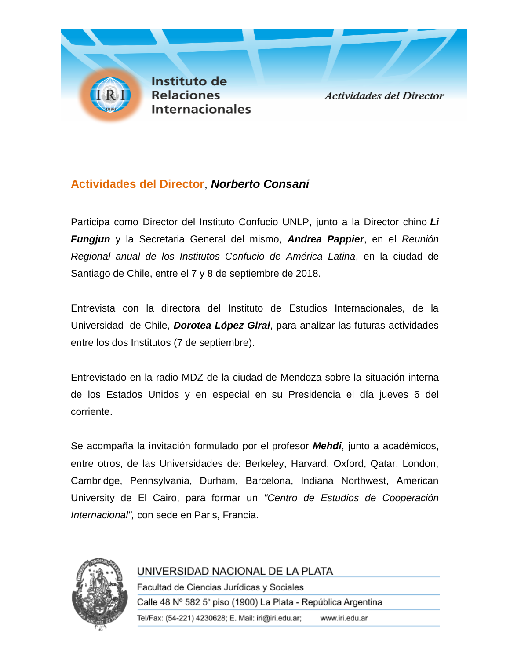

## **Actividades del Director**, *Norberto Consani*

Participa como Director del Instituto Confucio UNLP, junto a la Director chino *Li Fungjun* y la Secretaria General del mismo, *Andrea Pappier*, en el *Reunión Regional anual de los Institutos Confucio de América Latina*, en la ciudad de Santiago de Chile, entre el 7 y 8 de septiembre de 2018.

Entrevista con la directora del Instituto de Estudios Internacionales, de la Universidad de Chile, *Dorotea López Giral*, para analizar las futuras actividades entre los dos Institutos (7 de septiembre).

Entrevistado en la radio MDZ de la ciudad de Mendoza sobre la situación interna de los Estados Unidos y en especial en su Presidencia el día jueves 6 del corriente.

Se acompaña la invitación formulado por el profesor *Mehdi*, junto a académicos, entre otros, de las Universidades de: Berkeley, Harvard, Oxford, Qatar, London, Cambridge, Pennsylvania, Durham, Barcelona, Indiana Northwest, American University de El Cairo, para formar un *"Centro de Estudios de Cooperación Internacional",* con sede en Paris, Francia.